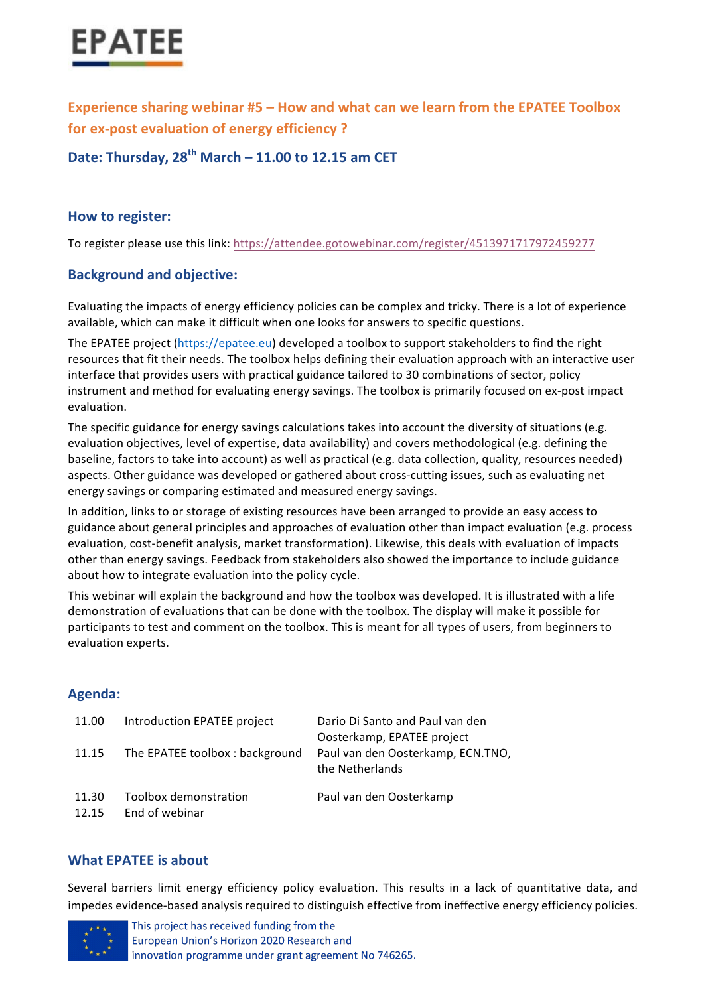

**Experience sharing webinar #5 – How and what can we learn from the EPATEE Toolbox for ex-post evaluation of energy efficiency?** 

**Date: Thursday, 28th March – 11.00 to 12.15 am CET**

## **How to register:**

To register please use this link: https://attendee.gotowebinar.com/register/4513971717972459277

## **Background and objective:**

Evaluating the impacts of energy efficiency policies can be complex and tricky. There is a lot of experience available, which can make it difficult when one looks for answers to specific questions.

The EPATEE project (https://epatee.eu) developed a toolbox to support stakeholders to find the right resources that fit their needs. The toolbox helps defining their evaluation approach with an interactive user interface that provides users with practical guidance tailored to 30 combinations of sector, policy instrument and method for evaluating energy savings. The toolbox is primarily focused on ex-post impact evaluation. 

The specific guidance for energy savings calculations takes into account the diversity of situations (e.g. evaluation objectives, level of expertise, data availability) and covers methodological (e.g. defining the baseline, factors to take into account) as well as practical (e.g. data collection, quality, resources needed) aspects. Other guidance was developed or gathered about cross-cutting issues, such as evaluating net energy savings or comparing estimated and measured energy savings.

In addition, links to or storage of existing resources have been arranged to provide an easy access to guidance about general principles and approaches of evaluation other than impact evaluation (e.g. process evaluation, cost-benefit analysis, market transformation). Likewise, this deals with evaluation of impacts other than energy savings. Feedback from stakeholders also showed the importance to include guidance about how to integrate evaluation into the policy cycle.

This webinar will explain the background and how the toolbox was developed. It is illustrated with a life demonstration of evaluations that can be done with the toolbox. The display will make it possible for participants to test and comment on the toolbox. This is meant for all types of users, from beginners to evaluation experts.

## **Agenda:**

| 11.00          | Introduction EPATEE project             | Dario Di Santo and Paul van den<br>Oosterkamp, EPATEE project |
|----------------|-----------------------------------------|---------------------------------------------------------------|
| 11.15          | The EPATEE toolbox: background          | Paul van den Oosterkamp, ECN.TNO,<br>the Netherlands          |
| 11.30<br>12.15 | Toolbox demonstration<br>End of webinar | Paul van den Oosterkamp                                       |

## **What FPATFF is about**

Several barriers limit energy efficiency policy evaluation. This results in a lack of quantitative data, and impedes evidence-based analysis required to distinguish effective from ineffective energy efficiency policies.